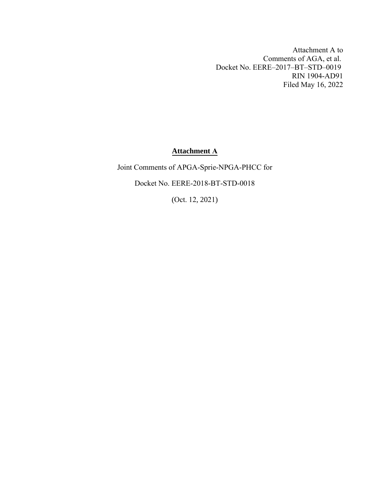Attachment A to Comments of AGA, et al. Docket No. EERE–2017–BT–STD–0019 RIN 1904-AD91 Filed May 16, 2022

# **Attachment A**

Joint Comments of APGA-Sprie-NPGA-PHCC for Docket No. EERE-2018-BT-STD-0018

(Oct. 12, 2021)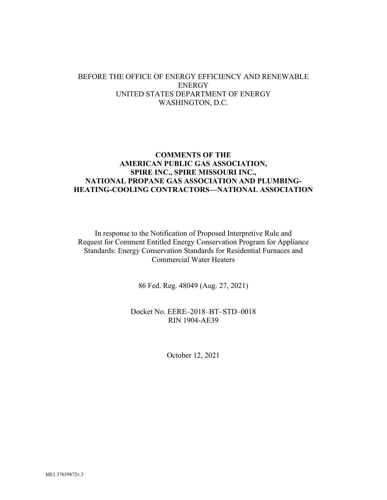### BEFORE THE OFFICE OF ENERGY EFFICIENCY AND RENEWABLE **ENERGY** UNITED STATES DEPARTMENT OF ENERGY WASHINGTON, D.C.

### **COMMENTS OF THE AMERICAN PUBLIC GAS ASSOCIATION, SPIRE INC., SPIRE MISSOURI INC., NATIONAL PROPANE GAS ASSOCIATION AND PLUMBING-HEATING-COOLING CONTRACTORS—NATIONAL ASSOCIATION**

In response to the Notification of Proposed Interpretive Rule and Request for Comment Entitled Energy Conservation Program for Appliance Standards: Energy Conservation Standards for Residential Furnaces and Commercial Water Heaters

86 Fed. Reg. 48049 (Aug. 27, 2021)

Docket No. EERE–2018–BT–STD–0018 RIN 1904-AE39

October 12, 2021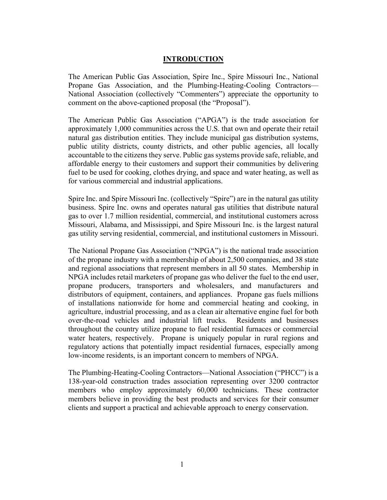### **INTRODUCTION**

The American Public Gas Association, Spire Inc., Spire Missouri Inc., National Propane Gas Association, and the Plumbing-Heating-Cooling Contractors— National Association (collectively "Commenters") appreciate the opportunity to comment on the above-captioned proposal (the "Proposal").

The American Public Gas Association ("APGA") is the trade association for approximately 1,000 communities across the U.S. that own and operate their retail natural gas distribution entities. They include municipal gas distribution systems, public utility districts, county districts, and other public agencies, all locally accountable to the citizens they serve. Public gas systems provide safe, reliable, and affordable energy to their customers and support their communities by delivering fuel to be used for cooking, clothes drying, and space and water heating, as well as for various commercial and industrial applications.

Spire Inc. and Spire Missouri Inc. (collectively "Spire") are in the natural gas utility business. Spire Inc. owns and operates natural gas utilities that distribute natural gas to over 1.7 million residential, commercial, and institutional customers across Missouri, Alabama, and Mississippi, and Spire Missouri Inc. is the largest natural gas utility serving residential, commercial, and institutional customers in Missouri.

The National Propane Gas Association ("NPGA") is the national trade association of the propane industry with a membership of about 2,500 companies, and 38 state and regional associations that represent members in all 50 states. Membership in NPGA includes retail marketers of propane gas who deliver the fuel to the end user, propane producers, transporters and wholesalers, and manufacturers and distributors of equipment, containers, and appliances. Propane gas fuels millions of installations nationwide for home and commercial heating and cooking, in agriculture, industrial processing, and as a clean air alternative engine fuel for both over-the-road vehicles and industrial lift trucks. Residents and businesses throughout the country utilize propane to fuel residential furnaces or commercial water heaters, respectively. Propane is uniquely popular in rural regions and regulatory actions that potentially impact residential furnaces, especially among low-income residents, is an important concern to members of NPGA.

The Plumbing-Heating-Cooling Contractors—National Association ("PHCC") is a 138-year-old construction trades association representing over 3200 contractor members who employ approximately 60,000 technicians. These contractor members believe in providing the best products and services for their consumer clients and support a practical and achievable approach to energy conservation.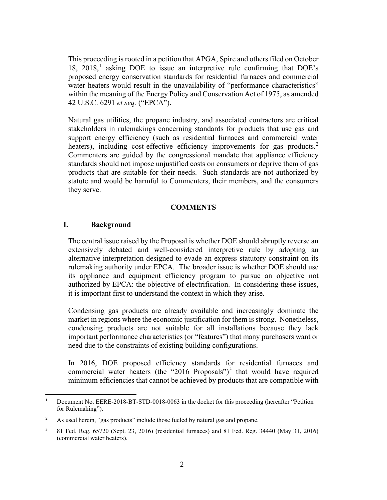This proceeding is rooted in a petition that APGA, Spire and others filed on October [1](#page-3-0)8,  $2018$ ,<sup>1</sup> asking DOE to issue an interpretive rule confirming that DOE's proposed energy conservation standards for residential furnaces and commercial water heaters would result in the unavailability of "performance characteristics" within the meaning of the Energy Policy and Conservation Act of 1975, as amended 42 U.S.C. 6291 *et seq.* ("EPCA").

Natural gas utilities, the propane industry, and associated contractors are critical stakeholders in rulemakings concerning standards for products that use gas and support energy efficiency (such as residential furnaces and commercial water heaters), including cost-effective efficiency improvements for gas products.<sup>[2](#page-3-1)</sup> Commenters are guided by the congressional mandate that appliance efficiency standards should not impose unjustified costs on consumers or deprive them of gas products that are suitable for their needs. Such standards are not authorized by statute and would be harmful to Commenters, their members, and the consumers they serve.

### **COMMENTS**

#### **I. Background**

The central issue raised by the Proposal is whether DOE should abruptly reverse an extensively debated and well-considered interpretive rule by adopting an alternative interpretation designed to evade an express statutory constraint on its rulemaking authority under EPCA. The broader issue is whether DOE should use its appliance and equipment efficiency program to pursue an objective not authorized by EPCA: the objective of electrification. In considering these issues, it is important first to understand the context in which they arise.

Condensing gas products are already available and increasingly dominate the market in regions where the economic justification for them is strong. Nonetheless, condensing products are not suitable for all installations because they lack important performance characteristics (or "features") that many purchasers want or need due to the constraints of existing building configurations.

In 2016, DOE proposed efficiency standards for residential furnaces and commercial water heaters (the "2016 Proposals")<sup>[3](#page-3-2)</sup> that would have required minimum efficiencies that cannot be achieved by products that are compatible with

<span id="page-3-0"></span>Document No. EERE-2018-BT-STD-0018-0063 in the docket for this proceeding (hereafter "Petition for Rulemaking").

<span id="page-3-1"></span><sup>&</sup>lt;sup>2</sup> As used herein, "gas products" include those fueled by natural gas and propane.

<span id="page-3-2"></span><sup>3</sup> 81 Fed. Reg. 65720 (Sept. 23, 2016) (residential furnaces) and 81 Fed. Reg. 34440 (May 31, 2016) (commercial water heaters).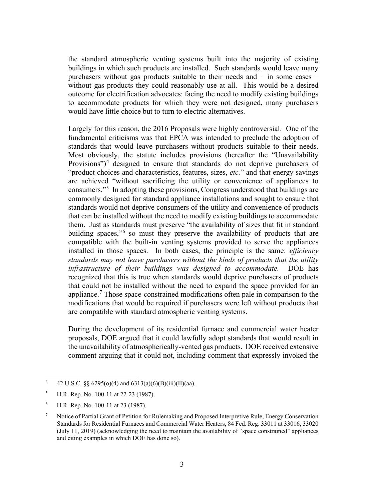the standard atmospheric venting systems built into the majority of existing buildings in which such products are installed. Such standards would leave many purchasers without gas products suitable to their needs and – in some cases – without gas products they could reasonably use at all. This would be a desired outcome for electrification advocates: facing the need to modify existing buildings to accommodate products for which they were not designed, many purchasers would have little choice but to turn to electric alternatives.

Largely for this reason, the 2016 Proposals were highly controversial. One of the fundamental criticisms was that EPCA was intended to preclude the adoption of standards that would leave purchasers without products suitable to their needs. Most obviously, the statute includes provisions (hereafter the "Unavailability Provisions")<sup>[4](#page-4-0)</sup> designed to ensure that standards do not deprive purchasers of "product choices and characteristics, features, sizes, *etc.*" and that energy savings are achieved "without sacrificing the utility or convenience of appliances to consumers."[5](#page-4-1) In adopting these provisions, Congress understood that buildings are commonly designed for standard appliance installations and sought to ensure that standards would not deprive consumers of the utility and convenience of products that can be installed without the need to modify existing buildings to accommodate them. Just as standards must preserve "the availability of sizes that fit in standard building spaces,"<sup>[6](#page-4-2)</sup> so must they preserve the availability of products that are compatible with the built-in venting systems provided to serve the appliances installed in those spaces. In both cases, the principle is the same: *efficiency standards may not leave purchasers without the kinds of products that the utility infrastructure of their buildings was designed to accommodate.* DOE has recognized that this is true when standards would deprive purchasers of products that could not be installed without the need to expand the space provided for an appliance.<sup>[7](#page-4-3)</sup> Those space-constrained modifications often pale in comparison to the modifications that would be required if purchasers were left without products that are compatible with standard atmospheric venting systems.

During the development of its residential furnace and commercial water heater proposals, DOE argued that it could lawfully adopt standards that would result in the unavailability of atmospherically-vented gas products. DOE received extensive comment arguing that it could not, including comment that expressly invoked the

<span id="page-4-0"></span><sup>4</sup> 42 U.S.C. §§ 6295(o)(4) and 6313(a)(6)(B)(iii)(II)(aa).

<span id="page-4-1"></span><sup>&</sup>lt;sup>5</sup> H.R. Rep. No. 100-11 at 22-23 (1987).

<span id="page-4-2"></span><sup>6</sup> H.R. Rep. No. 100-11 at 23 (1987).

<span id="page-4-3"></span><sup>7</sup> Notice of Partial Grant of Petition for Rulemaking and Proposed Interpretive Rule, Energy Conservation Standards for Residential Furnaces and Commercial Water Heaters, 84 Fed. Reg. 33011 at 33016, 33020 (July 11, 2019) (acknowledging the need to maintain the availability of "space constrained" appliances and citing examples in which DOE has done so).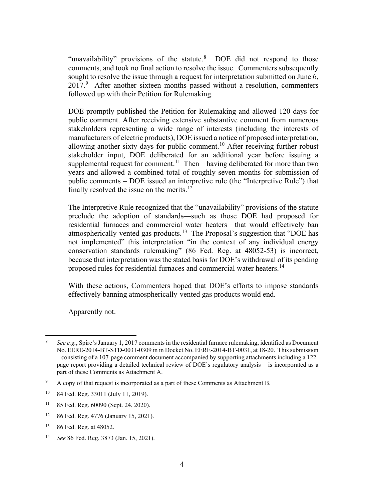"unavailability" provisions of the statute.<sup>[8](#page-5-0)</sup> DOE did not respond to those comments, and took no final action to resolve the issue. Commenters subsequently sought to resolve the issue through a request for interpretation submitted on June 6, 2017.<sup>[9](#page-5-1)</sup> After another sixteen months passed without a resolution, commenters followed up with their Petition for Rulemaking.

DOE promptly published the Petition for Rulemaking and allowed 120 days for public comment. After receiving extensive substantive comment from numerous stakeholders representing a wide range of interests (including the interests of manufacturers of electric products), DOE issued a notice of proposed interpretation, allowing another sixty days for public comment.<sup>[10](#page-5-2)</sup> After receiving further robust stakeholder input, DOE deliberated for an additional year before issuing a supplemental request for comment.<sup>[11](#page-5-3)</sup> Then – having deliberated for more than two years and allowed a combined total of roughly seven months for submission of public comments – DOE issued an interpretive rule (the "Interpretive Rule") that finally resolved the issue on the merits.<sup>[12](#page-5-4)</sup>

The Interpretive Rule recognized that the "unavailability" provisions of the statute preclude the adoption of standards—such as those DOE had proposed for residential furnaces and commercial water heaters—that would effectively ban atmospherically-vented gas products.<sup>[13](#page-5-5)</sup> The Proposal's suggestion that "DOE has not implemented" this interpretation "in the context of any individual energy conservation standards rulemaking" (86 Fed. Reg. at 48052-53) is incorrect, because that interpretation was the stated basis for DOE's withdrawal of its pending proposed rules for residential furnaces and commercial water heaters.<sup>[14](#page-5-6)</sup>

With these actions, Commenters hoped that DOE's efforts to impose standards effectively banning atmospherically-vented gas products would end.

Apparently not.

- <span id="page-5-3"></span><sup>11</sup> 85 Fed. Reg. 60090 (Sept. 24, 2020).
- <span id="page-5-4"></span><sup>12</sup> 86 Fed. Reg. 4776 (January 15, 2021).

<span id="page-5-0"></span><sup>8</sup> *See e.g.*, Spire's January 1, 2017 comments in the residential furnace rulemaking, identified as Document No. EERE-2014-BT-STD-0031-0309 in in Docket No. EERE-2014-BT-0031, at 18-20. This submission – consisting of a 107-page comment document accompanied by supporting attachments including a 122 page report providing a detailed technical review of DOE's regulatory analysis – is incorporated as a part of these Comments as Attachment A.

<span id="page-5-1"></span><sup>9</sup> A copy of that request is incorporated as a part of these Comments as Attachment B.

<span id="page-5-2"></span><sup>10</sup> 84 Fed. Reg. 33011 (July 11, 2019).

<span id="page-5-5"></span><sup>13</sup> 86 Fed. Reg. at 48052.

<span id="page-5-6"></span><sup>14</sup> *See* 86 Fed. Reg. 3873 (Jan. 15, 2021).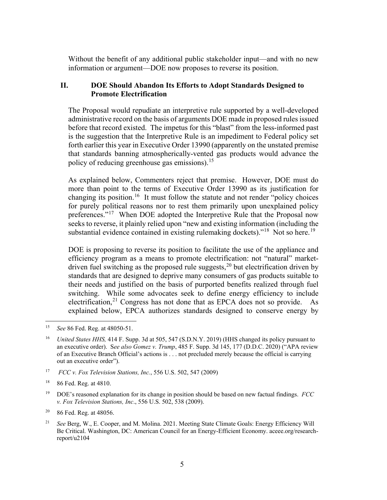Without the benefit of any additional public stakeholder input—and with no new information or argument—DOE now proposes to reverse its position.

# **II. DOE Should Abandon Its Efforts to Adopt Standards Designed to Promote Electrification**

The Proposal would repudiate an interpretive rule supported by a well-developed administrative record on the basis of arguments DOE made in proposed rules issued before that record existed. The impetus for this "blast" from the less-informed past is the suggestion that the Interpretive Rule is an impediment to Federal policy set forth earlier this year in Executive Order 13990 (apparently on the unstated premise that standards banning atmospherically-vented gas products would advance the policy of reducing greenhouse gas emissions).<sup>[15](#page-6-0)</sup>

As explained below, Commenters reject that premise. However, DOE must do more than point to the terms of Executive Order 13990 as its justification for changing its position.<sup>[16](#page-6-1)</sup> It must follow the statute and not render "policy choices for purely political reasons nor to rest them primarily upon unexplained policy preferences."<sup>[17](#page-6-2)</sup> When DOE adopted the Interpretive Rule that the Proposal now seeks to reverse, it plainly relied upon "new and existing information (including the substantial evidence contained in existing rulemaking dockets)."<sup>[18](#page-6-3)</sup> Not so here.<sup>19</sup>

DOE is proposing to reverse its position to facilitate the use of the appliance and efficiency program as a means to promote electrification: not "natural" market-driven fuel switching as the proposed rule suggests,<sup>[20](#page-6-5)</sup> but electrification driven by standards that are designed to deprive many consumers of gas products suitable to their needs and justified on the basis of purported benefits realized through fuel switching. While some advocates seek to define energy efficiency to include electrification, $21$  Congress has not done that as EPCA does not so provide. As explained below, EPCA authorizes standards designed to conserve energy by

<span id="page-6-0"></span><sup>15</sup> *See* 86 Fed. Reg. at 48050-51.

<span id="page-6-1"></span><sup>16</sup> *United States HHS,* 414 F. Supp. 3d at 505, 547 (S.D.N.Y. 2019) (HHS changed its policy pursuant to an executive order). S*ee also Gomez v. Trump*, 485 F. Supp. 3d 145, 177 (D.D.C. 2020) ("APA review of an Executive Branch Official's actions is . . . not precluded merely because the official is carrying out an executive order").

<span id="page-6-2"></span><sup>17</sup> *FCC v. Fox Television Stations, Inc.*, 556 U.S. 502, 547 (2009)

<span id="page-6-3"></span><sup>18</sup> 86 Fed. Reg. at 4810.

<span id="page-6-4"></span><sup>19</sup> DOE's reasoned explanation for its change in position should be based on new factual findings. *FCC v. Fox Television Stations, Inc*., 556 U.S. 502, 538 (2009).

<span id="page-6-5"></span><sup>20</sup> 86 Fed. Reg. at 48056.

<span id="page-6-6"></span><sup>21</sup> *See* Berg, W., E. Cooper, and M. Molina. 2021. Meeting State Climate Goals: Energy Efficiency Will Be Critical. Washington, DC: American Council for an Energy-Efficient Economy. aceee.org/researchreport/u2104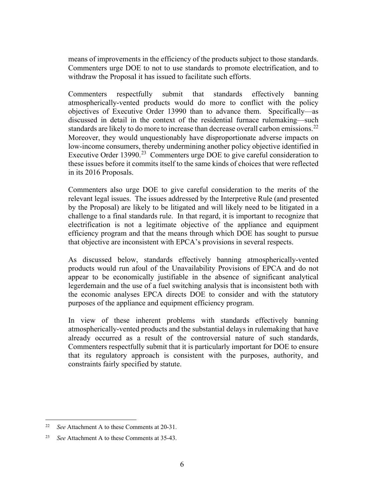means of improvements in the efficiency of the products subject to those standards. Commenters urge DOE to not to use standards to promote electrification, and to withdraw the Proposal it has issued to facilitate such efforts.

Commenters respectfully submit that standards effectively banning atmospherically-vented products would do more to conflict with the policy objectives of Executive Order 13990 than to advance them. Specifically—as discussed in detail in the context of the residential furnace rulemaking—such standards are likely to do more to increase than decrease overall carbon emissions.<sup>[22](#page-7-0)</sup> Moreover, they would unquestionably have disproportionate adverse impacts on low-income consumers, thereby undermining another policy objective identified in Executive Order 13990.<sup>23</sup> Commenters urge DOE to give careful consideration to these issues before it commits itself to the same kinds of choices that were reflected in its 2016 Proposals.

Commenters also urge DOE to give careful consideration to the merits of the relevant legal issues. The issues addressed by the Interpretive Rule (and presented by the Proposal) are likely to be litigated and will likely need to be litigated in a challenge to a final standards rule. In that regard, it is important to recognize that electrification is not a legitimate objective of the appliance and equipment efficiency program and that the means through which DOE has sought to pursue that objective are inconsistent with EPCA's provisions in several respects.

As discussed below, standards effectively banning atmospherically-vented products would run afoul of the Unavailability Provisions of EPCA and do not appear to be economically justifiable in the absence of significant analytical legerdemain and the use of a fuel switching analysis that is inconsistent both with the economic analyses EPCA directs DOE to consider and with the statutory purposes of the appliance and equipment efficiency program.

In view of these inherent problems with standards effectively banning atmospherically-vented products and the substantial delays in rulemaking that have already occurred as a result of the controversial nature of such standards, Commenters respectfully submit that it is particularly important for DOE to ensure that its regulatory approach is consistent with the purposes, authority, and constraints fairly specified by statute.

<span id="page-7-0"></span><sup>22</sup> *See* Attachment A to these Comments at 20-31.

<span id="page-7-1"></span><sup>23</sup> *See* Attachment A to these Comments at 35-43.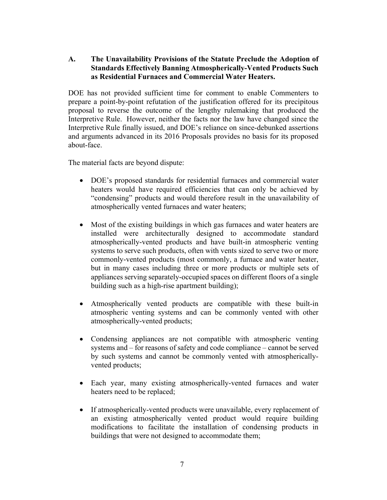# **A. The Unavailability Provisions of the Statute Preclude the Adoption of Standards Effectively Banning Atmospherically-Vented Products Such as Residential Furnaces and Commercial Water Heaters.**

DOE has not provided sufficient time for comment to enable Commenters to prepare a point-by-point refutation of the justification offered for its precipitous proposal to reverse the outcome of the lengthy rulemaking that produced the Interpretive Rule. However, neither the facts nor the law have changed since the Interpretive Rule finally issued, and DOE's reliance on since-debunked assertions and arguments advanced in its 2016 Proposals provides no basis for its proposed about-face.

The material facts are beyond dispute:

- DOE's proposed standards for residential furnaces and commercial water heaters would have required efficiencies that can only be achieved by "condensing" products and would therefore result in the unavailability of atmospherically vented furnaces and water heaters;
- Most of the existing buildings in which gas furnaces and water heaters are installed were architecturally designed to accommodate standard atmospherically-vented products and have built-in atmospheric venting systems to serve such products, often with vents sized to serve two or more commonly-vented products (most commonly, a furnace and water heater, but in many cases including three or more products or multiple sets of appliances serving separately-occupied spaces on different floors of a single building such as a high-rise apartment building);
- Atmospherically vented products are compatible with these built-in atmospheric venting systems and can be commonly vented with other atmospherically-vented products;
- Condensing appliances are not compatible with atmospheric venting systems and – for reasons of safety and code compliance – cannot be served by such systems and cannot be commonly vented with atmosphericallyvented products;
- Each year, many existing atmospherically-vented furnaces and water heaters need to be replaced;
- If atmospherically-vented products were unavailable, every replacement of an existing atmospherically vented product would require building modifications to facilitate the installation of condensing products in buildings that were not designed to accommodate them;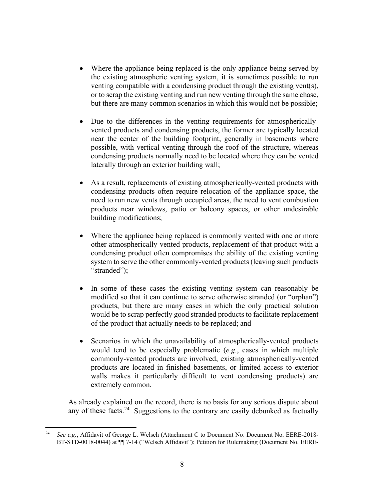- Where the appliance being replaced is the only appliance being served by the existing atmospheric venting system, it is sometimes possible to run venting compatible with a condensing product through the existing vent(s), or to scrap the existing venting and run new venting through the same chase, but there are many common scenarios in which this would not be possible;
- Due to the differences in the venting requirements for atmosphericallyvented products and condensing products, the former are typically located near the center of the building footprint, generally in basements where possible, with vertical venting through the roof of the structure, whereas condensing products normally need to be located where they can be vented laterally through an exterior building wall;
- As a result, replacements of existing atmospherically-vented products with condensing products often require relocation of the appliance space, the need to run new vents through occupied areas, the need to vent combustion products near windows, patio or balcony spaces, or other undesirable building modifications;
- Where the appliance being replaced is commonly vented with one or more other atmospherically-vented products, replacement of that product with a condensing product often compromises the ability of the existing venting system to serve the other commonly-vented products (leaving such products "stranded");
- In some of these cases the existing venting system can reasonably be modified so that it can continue to serve otherwise stranded (or "orphan") products, but there are many cases in which the only practical solution would be to scrap perfectly good stranded products to facilitate replacement of the product that actually needs to be replaced; and
- Scenarios in which the unavailability of atmospherically-vented products would tend to be especially problematic (*e.g.*, cases in which multiple commonly-vented products are involved, existing atmospherically-vented products are located in finished basements, or limited access to exterior walls makes it particularly difficult to vent condensing products) are extremely common.

As already explained on the record, there is no basis for any serious dispute about any of these facts.<sup>24</sup> Suggestions to the contrary are easily debunked as factually

<span id="page-9-0"></span><sup>24</sup> *See e.g.*, Affidavit of George L. Welsch (Attachment C to Document No. Document No. EERE-2018- BT-STD-0018-0044) at ¶¶ 7-14 ("Welsch Affidavit"); Petition for Rulemaking (Document No. EERE-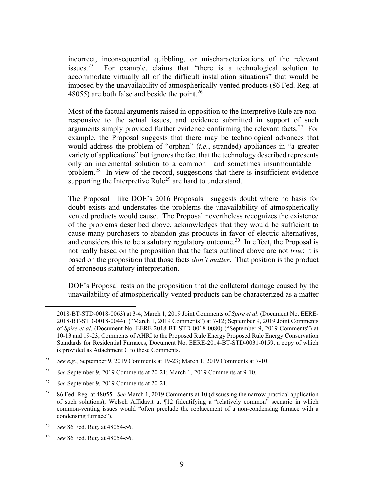incorrect, inconsequential quibbling, or mischaracterizations of the relevant issues. $25$ [25](#page-10-0) For example, claims that "there is a technological solution to accommodate virtually all of the difficult installation situations" that would be imposed by the unavailability of atmospherically-vented products (86 Fed. Reg. at 48055) are both false and beside the point.<sup>[26](#page-10-1)</sup>

Most of the factual arguments raised in opposition to the Interpretive Rule are nonresponsive to the actual issues, and evidence submitted in support of such arguments simply provided further evidence confirming the relevant facts.<sup>27</sup> For example, the Proposal suggests that there may be technological advances that would address the problem of "orphan" (*i.e.*, stranded) appliances in "a greater variety of applications" but ignores the fact that the technology described represents only an incremental solution to a common—and sometimes insurmountable problem.<sup>28</sup> In view of the record, suggestions that there is insufficient evidence supporting the Interpretive Rule<sup>[29](#page-10-4)</sup> are hard to understand.

The Proposal—like DOE's 2016 Proposals—suggests doubt where no basis for doubt exists and understates the problems the unavailability of atmospherically vented products would cause. The Proposal nevertheless recognizes the existence of the problems described above, acknowledges that they would be sufficient to cause many purchasers to abandon gas products in favor of electric alternatives, and considers this to be a salutary regulatory outcome.<sup>30</sup> In effect, the Proposal is not really based on the proposition that the facts outlined above are not *true*; it is based on the proposition that those facts *don't matter*. That position is the product of erroneous statutory interpretation.

DOE's Proposal rests on the proposition that the collateral damage caused by the unavailability of atmospherically-vented products can be characterized as a matter

<sup>2018-</sup>BT-STD-0018-0063) at 3-4; March 1, 2019 Joint Comments of *Spire et al*. (Document No. EERE-2018-BT-STD-0018-0044) ("March 1, 2019 Comments") at 7-12; September 9, 2019 Joint Comments of *Spire et al*. (Document No. EERE-2018-BT-STD-0018-0080) ("September 9, 2019 Comments") at 10-13 and 19-23; Comments of AHRI to the Proposed Rule Energy Proposed Rule Energy Conservation Standards for Residential Furnaces, Document No. EERE-2014-BT-STD-0031-0159, a copy of which is provided as Attachment C to these Comments.

<span id="page-10-0"></span><sup>25</sup> *See e.g.*, September 9, 2019 Comments at 19-23; March 1, 2019 Comments at 7-10.

<span id="page-10-1"></span><sup>26</sup> *See* September 9, 2019 Comments at 20-21; March 1, 2019 Comments at 9-10.

<span id="page-10-2"></span><sup>27</sup> *See* September 9, 2019 Comments at 20-21.

<span id="page-10-3"></span><sup>28</sup> 86 Fed. Reg. at 48055. *See* March 1, 2019 Comments at 10 (discussing the narrow practical application of such solutions); Welsch Affidavit at ¶12 (identifying a "relatively common" scenario in which common-venting issues would "often preclude the replacement of a non-condensing furnace with a condensing furnace").

<span id="page-10-4"></span><sup>29</sup> *See* 86 Fed. Reg. at 48054-56.

<span id="page-10-5"></span><sup>30</sup> *See* 86 Fed. Reg. at 48054-56.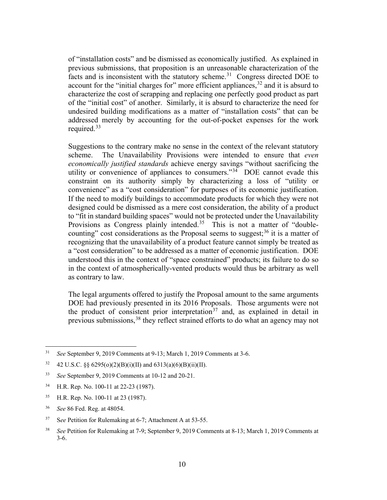of "installation costs" and be dismissed as economically justified. As explained in previous submissions, that proposition is an unreasonable characterization of the facts and is inconsistent with the statutory scheme.<sup>31</sup> Congress directed DOE to account for the "initial charges for" more efficient appliances,  $32$  and it is absurd to characterize the cost of scrapping and replacing one perfectly good product as part of the "initial cost" of another. Similarly, it is absurd to characterize the need for undesired building modifications as a matter of "installation costs" that can be addressed merely by accounting for the out-of-pocket expenses for the work required. [33](#page-11-2) 

Suggestions to the contrary make no sense in the context of the relevant statutory scheme. The Unavailability Provisions were intended to ensure that *even economically justified standards* achieve energy savings "without sacrificing the utility or convenience of appliances to consumers."<sup>34</sup> DOE cannot evade this constraint on its authority simply by characterizing a loss of "utility or convenience" as a "cost consideration" for purposes of its economic justification. If the need to modify buildings to accommodate products for which they were not designed could be dismissed as a mere cost consideration, the ability of a product to "fit in standard building spaces" would not be protected under the Unavailability Provisions as Congress plainly intended.<sup>[35](#page-11-4)</sup> This is not a matter of "double-counting" cost considerations as the Proposal seems to suggest;<sup>[36](#page-11-5)</sup> it is a matter of recognizing that the unavailability of a product feature cannot simply be treated as a "cost consideration" to be addressed as a matter of economic justification. DOE understood this in the context of "space constrained" products; its failure to do so in the context of atmospherically-vented products would thus be arbitrary as well as contrary to law.

The legal arguments offered to justify the Proposal amount to the same arguments DOE had previously presented in its 2016 Proposals. Those arguments were not the product of consistent prior interpretation<sup>[37](#page-11-6)</sup> and, as explained in detail in previous submissions,<sup>[38](#page-11-7)</sup> they reflect strained efforts to do what an agency may not

- <span id="page-11-2"></span><sup>35</sup> H.R. Rep. No. 100-11 at 23 (1987).
- <span id="page-11-3"></span><sup>36</sup> *See* 86 Fed. Reg. at 48054.
- <span id="page-11-4"></span><sup>37</sup> S*ee* Petition for Rulemaking at 6-7; Attachment A at 53-55.

<sup>31</sup> *See* September 9, 2019 Comments at 9-13; March 1, 2019 Comments at 3-6.

<sup>&</sup>lt;sup>32</sup> 42 U.S.C. §§ 6295(o)(2)(B)(i)(II) and 6313(a)(6)(B)(ii)(II).

<span id="page-11-0"></span><sup>33</sup> *See* September 9, 2019 Comments at 10-12 and 20-21.

<span id="page-11-1"></span><sup>34</sup> H.R. Rep. No. 100-11 at 22-23 (1987).

<span id="page-11-7"></span><span id="page-11-6"></span><span id="page-11-5"></span><sup>38</sup> *See* Petition for Rulemaking at 7-9; September 9, 2019 Comments at 8-13; March 1, 2019 Comments at 3-6.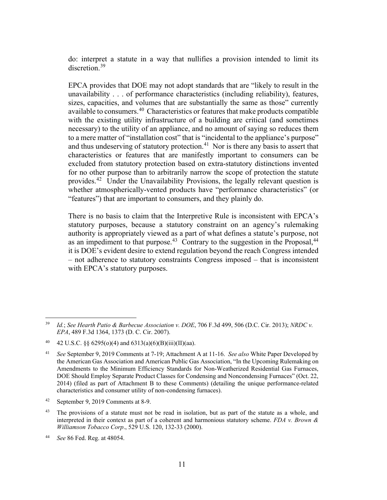do: interpret a statute in a way that nullifies a provision intended to limit its discretion.<sup>[39](#page-12-0)</sup>

EPCA provides that DOE may not adopt standards that are "likely to result in the unavailability . . . of performance characteristics (including reliability), features, sizes, capacities, and volumes that are substantially the same as those" currently available to consumers.<sup>[40](#page-12-1)</sup> Characteristics or features that make products compatible with the existing utility infrastructure of a building are critical (and sometimes necessary) to the utility of an appliance, and no amount of saying so reduces them to a mere matter of "installation cost" that is "incidental to the appliance's purpose" and thus undeserving of statutory protection.<sup>41</sup> Nor is there any basis to assert that characteristics or features that are manifestly important to consumers can be excluded from statutory protection based on extra-statutory distinctions invented for no other purpose than to arbitrarily narrow the scope of protection the statute provides.<sup>42</sup> Under the Unavailability Provisions, the legally relevant question is whether atmospherically-vented products have "performance characteristics" (or "features") that are important to consumers, and they plainly do.

There is no basis to claim that the Interpretive Rule is inconsistent with EPCA's statutory purposes, because a statutory constraint on an agency's rulemaking authority is appropriately viewed as a part of what defines a statute's purpose, not as an impediment to that purpose.<sup>43</sup> Contrary to the suggestion in the Proposal, $44$ it is DOE's evident desire to extend regulation beyond the reach Congress intended – not adherence to statutory constraints Congress imposed – that is inconsistent with EPCA's statutory purposes.

<span id="page-12-0"></span><sup>39</sup> *Id.*; *See Hearth Patio & Barbecue Association v. DOE*, 706 F.3d 499, 506 (D.C. Cir. 2013); *NRDC v. EPA*, 489 F.3d 1364, 1373 (D. C. Cir. 2007).

<span id="page-12-1"></span><sup>40 42</sup> U.S.C. §§  $6295(o)(4)$  and  $6313(a)(6)(B)(iii)(II)(aa)$ .

<span id="page-12-2"></span><sup>41</sup> *See* September 9, 2019 Comments at 7-19; Attachment A at 11-16. *See also* White Paper Developed by the American Gas Association and American Public Gas Association, "In the Upcoming Rulemaking on Amendments to the Minimum Efficiency Standards for Non-Weatherized Residential Gas Furnaces, DOE Should Employ Separate Product Classes for Condensing and Noncondensing Furnaces" (Oct. 22, 2014) (filed as part of Attachment B to these Comments) (detailing the unique performance-related characteristics and consumer utility of non-condensing furnaces).

<span id="page-12-3"></span><sup>42</sup> September 9, 2019 Comments at 8-9.

<span id="page-12-4"></span><sup>&</sup>lt;sup>43</sup> The provisions of a statute must not be read in isolation, but as part of the statute as a whole, and interpreted in their context as part of a coherent and harmonious statutory scheme. *FDA v. Brown & Williamson Tobacco Corp*., 529 U.S. 120, 132-33 (2000).

<span id="page-12-5"></span><sup>44</sup> *See* 86 Fed. Reg. at 48054.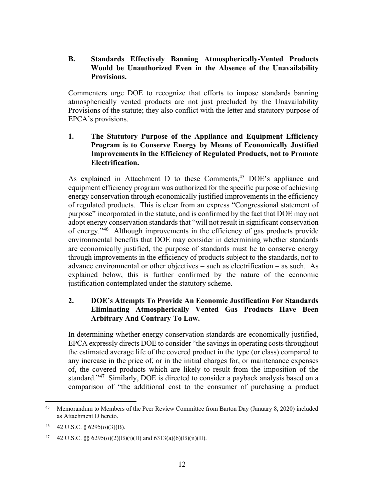# **B. Standards Effectively Banning Atmospherically-Vented Products Would be Unauthorized Even in the Absence of the Unavailability Provisions.**

Commenters urge DOE to recognize that efforts to impose standards banning atmospherically vented products are not just precluded by the Unavailability Provisions of the statute; they also conflict with the letter and statutory purpose of EPCA's provisions.

# **1. The Statutory Purpose of the Appliance and Equipment Efficiency Program is to Conserve Energy by Means of Economically Justified Improvements in the Efficiency of Regulated Products, not to Promote Electrification.**

As explained in Attachment D to these Comments,<sup>[45](#page-13-0)</sup> DOE's appliance and equipment efficiency program was authorized for the specific purpose of achieving energy conservation through economically justified improvements in the efficiency of regulated products. This is clear from an express "Congressional statement of purpose" incorporated in the statute, and is confirmed by the fact that DOE may not adopt energy conservation standards that "will not result in significant conservation of energy."[46](#page-13-1) Although improvements in the efficiency of gas products provide environmental benefits that DOE may consider in determining whether standards are economically justified, the purpose of standards must be to conserve energy through improvements in the efficiency of products subject to the standards, not to advance environmental or other objectives – such as electrification – as such. As explained below, this is further confirmed by the nature of the economic justification contemplated under the statutory scheme.

# **2. DOE's Attempts To Provide An Economic Justification For Standards Eliminating Atmospherically Vented Gas Products Have Been Arbitrary And Contrary To Law.**

In determining whether energy conservation standards are economically justified, EPCA expressly directs DOE to consider "the savings in operating costs throughout the estimated average life of the covered product in the type (or class) compared to any increase in the price of, or in the initial charges for, or maintenance expenses of, the covered products which are likely to result from the imposition of the standard."<sup>[47](#page-13-2)</sup> Similarly, DOE is directed to consider a payback analysis based on a comparison of "the additional cost to the consumer of purchasing a product

<span id="page-13-0"></span><sup>45</sup> Memorandum to Members of the Peer Review Committee from Barton Day (January 8, 2020) included as Attachment D hereto.

<span id="page-13-1"></span><sup>46</sup> 42 U.S.C. § 6295(o)(3)(B).

<span id="page-13-2"></span><sup>47 42</sup> U.S.C. §§  $6295(o)(2)(B)(i)(II)$  and  $6313(a)(6)(B)(ii)(II)$ .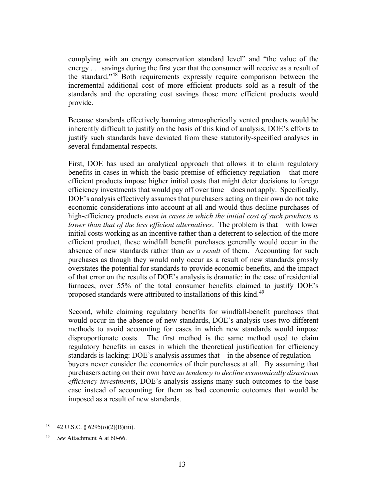complying with an energy conservation standard level" and "the value of the energy . . . savings during the first year that the consumer will receive as a result of the standard."[48](#page-14-0) Both requirements expressly require comparison between the incremental additional cost of more efficient products sold as a result of the standards and the operating cost savings those more efficient products would provide.

Because standards effectively banning atmospherically vented products would be inherently difficult to justify on the basis of this kind of analysis, DOE's efforts to justify such standards have deviated from these statutorily-specified analyses in several fundamental respects.

First, DOE has used an analytical approach that allows it to claim regulatory benefits in cases in which the basic premise of efficiency regulation – that more efficient products impose higher initial costs that might deter decisions to forego efficiency investments that would pay off over time – does not apply. Specifically, DOE's analysis effectively assumes that purchasers acting on their own do not take economic considerations into account at all and would thus decline purchases of high-efficiency products *even in cases in which the initial cost of such products is lower than that of the less efficient alternatives*. The problem is that – with lower initial costs working as an incentive rather than a deterrent to selection of the more efficient product, these windfall benefit purchases generally would occur in the absence of new standards rather than *as a result* of them. Accounting for such purchases as though they would only occur as a result of new standards grossly overstates the potential for standards to provide economic benefits, and the impact of that error on the results of DOE's analysis is dramatic: in the case of residential furnaces, over 55% of the total consumer benefits claimed to justify DOE's proposed standards were attributed to installations of this kind.<sup>[49](#page-14-1)</sup>

Second, while claiming regulatory benefits for windfall-benefit purchases that would occur in the absence of new standards, DOE's analysis uses two different methods to avoid accounting for cases in which new standards would impose disproportionate costs. The first method is the same method used to claim regulatory benefits in cases in which the theoretical justification for efficiency standards is lacking: DOE's analysis assumes that—in the absence of regulation buyers never consider the economics of their purchases at all. By assuming that purchasers acting on their own have *no tendency to decline economically disastrous efficiency investments*, DOE's analysis assigns many such outcomes to the base case instead of accounting for them as bad economic outcomes that would be imposed as a result of new standards.

<span id="page-14-0"></span><sup>48 42</sup> U.S.C. §  $6295(o)(2)(B)(iii)$ .

<span id="page-14-1"></span>See Attachment A at 60-66.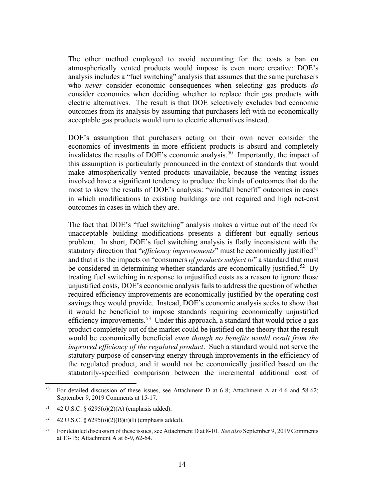The other method employed to avoid accounting for the costs a ban on atmospherically vented products would impose is even more creative: DOE's analysis includes a "fuel switching" analysis that assumes that the same purchasers who *never* consider economic consequences when selecting gas products *do* consider economics when deciding whether to replace their gas products with electric alternatives. The result is that DOE selectively excludes bad economic outcomes from its analysis by assuming that purchasers left with no economically acceptable gas products would turn to electric alternatives instead.

DOE's assumption that purchasers acting on their own never consider the economics of investments in more efficient products is absurd and completely invalidates the results of DOE's economic analysis.<sup>[50](#page-15-0)</sup> Importantly, the impact of this assumption is particularly pronounced in the context of standards that would make atmospherically vented products unavailable, because the venting issues involved have a significant tendency to produce the kinds of outcomes that do the most to skew the results of DOE's analysis: "windfall benefit" outcomes in cases in which modifications to existing buildings are not required and high net-cost outcomes in cases in which they are.

The fact that DOE's "fuel switching" analysis makes a virtue out of the need for unacceptable building modifications presents a different but equally serious problem. In short, DOE's fuel switching analysis is flatly inconsistent with the statutory direction that "*efficiency improvements*" must be economically justified<sup>[51](#page-15-1)</sup> and that it is the impacts on "consumers *of products subject to*" a standard that must be considered in determining whether standards are economically justified.<sup>52</sup> By treating fuel switching in response to unjustified costs as a reason to ignore those unjustified costs, DOE's economic analysis fails to address the question of whether required efficiency improvements are economically justified by the operating cost savings they would provide. Instead, DOE's economic analysis seeks to show that it would be beneficial to impose standards requiring economically unjustified efficiency improvements.<sup>[53](#page-15-3)</sup> Under this approach, a standard that would price a gas product completely out of the market could be justified on the theory that the result would be economically beneficial *even though no benefits would result from the improved efficiency of the regulated product*. Such a standard would not serve the statutory purpose of conserving energy through improvements in the efficiency of the regulated product, and it would not be economically justified based on the statutorily-specified comparison between the incremental additional cost of

<span id="page-15-0"></span><sup>&</sup>lt;sup>50</sup> For detailed discussion of these issues, see Attachment D at 6-8; Attachment A at 4-6 and 58-62; September 9, 2019 Comments at 15-17.

<span id="page-15-1"></span><sup>51</sup> 42 U.S.C. § 6295(o)(2)(A) (emphasis added).

<span id="page-15-2"></span><sup>52 42</sup> U.S.C. §  $6295(o)(2)(B)(i)(I)$  (emphasis added).

<span id="page-15-3"></span><sup>53</sup> For detailed discussion of these issues, see Attachment D at 8-10. *See also* September 9, 2019 Comments at 13-15; Attachment A at 6-9, 62-64.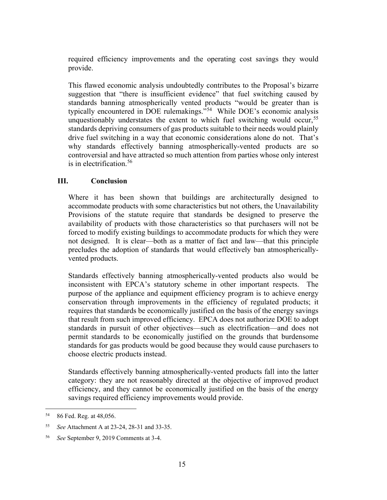required efficiency improvements and the operating cost savings they would provide.

This flawed economic analysis undoubtedly contributes to the Proposal's bizarre suggestion that "there is insufficient evidence" that fuel switching caused by standards banning atmospherically vented products "would be greater than is typically encountered in DOE rulemakings."[54](#page-16-0) While DOE's economic analysis unquestionably understates the extent to which fuel switching would occur,  $55$ standards depriving consumers of gas products suitable to their needs would plainly drive fuel switching in a way that economic considerations alone do not. That's why standards effectively banning atmospherically-vented products are so controversial and have attracted so much attention from parties whose only interest is in electrification. [56](#page-16-2)

# **III. Conclusion**

Where it has been shown that buildings are architecturally designed to accommodate products with some characteristics but not others, the Unavailability Provisions of the statute require that standards be designed to preserve the availability of products with those characteristics so that purchasers will not be forced to modify existing buildings to accommodate products for which they were not designed. It is clear—both as a matter of fact and law—that this principle precludes the adoption of standards that would effectively ban atmosphericallyvented products.

Standards effectively banning atmospherically-vented products also would be inconsistent with EPCA's statutory scheme in other important respects. The purpose of the appliance and equipment efficiency program is to achieve energy conservation through improvements in the efficiency of regulated products; it requires that standards be economically justified on the basis of the energy savings that result from such improved efficiency. EPCA does not authorize DOE to adopt standards in pursuit of other objectives—such as electrification—and does not permit standards to be economically justified on the grounds that burdensome standards for gas products would be good because they would cause purchasers to choose electric products instead.

Standards effectively banning atmospherically-vented products fall into the latter category: they are not reasonably directed at the objective of improved product efficiency, and they cannot be economically justified on the basis of the energy savings required efficiency improvements would provide.

<span id="page-16-0"></span><sup>54</sup> 86 Fed. Reg. at 48,056.

<span id="page-16-1"></span><sup>55</sup> *See* Attachment A at 23-24, 28-31 and 33-35.

<span id="page-16-2"></span><sup>56</sup> *See* September 9, 2019 Comments at 3-4.